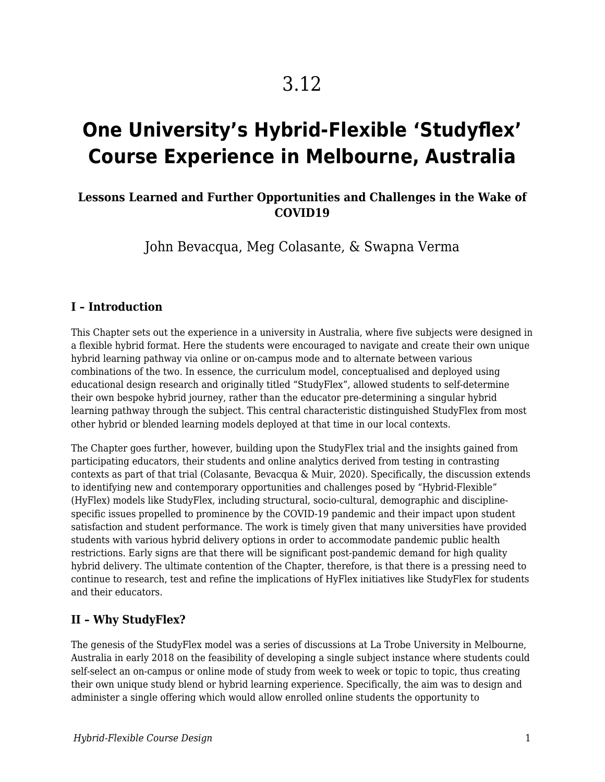# 3.12

# **One University's Hybrid-Flexible 'Studyflex' Course Experience in Melbourne, Australia**

## **Lessons Learned and Further Opportunities and Challenges in the Wake of COVID19**

John Bevacqua, Meg Colasante, & Swapna Verma

#### **I – Introduction**

This Chapter sets out the experience in a university in Australia, where five subjects were designed in a flexible hybrid format. Here the students were encouraged to navigate and create their own unique hybrid learning pathway via online or on-campus mode and to alternate between various combinations of the two. In essence, the curriculum model, conceptualised and deployed using educational design research and originally titled "StudyFlex", allowed students to self-determine their own bespoke hybrid journey, rather than the educator pre-determining a singular hybrid learning pathway through the subject. This central characteristic distinguished StudyFlex from most other hybrid or blended learning models deployed at that time in our local contexts.

The Chapter goes further, however, building upon the StudyFlex trial and the insights gained from participating educators, their students and online analytics derived from testing in contrasting contexts as part of that trial (Colasante, Bevacqua & Muir, 2020). Specifically, the discussion extends to identifying new and contemporary opportunities and challenges posed by "Hybrid-Flexible" (HyFlex) models like StudyFlex, including structural, socio-cultural, demographic and disciplinespecific issues propelled to prominence by the COVID-19 pandemic and their impact upon student satisfaction and student performance. The work is timely given that many universities have provided students with various hybrid delivery options in order to accommodate pandemic public health restrictions. Early signs are that there will be significant post-pandemic demand for high quality hybrid delivery. The ultimate contention of the Chapter, therefore, is that there is a pressing need to continue to research, test and refine the implications of HyFlex initiatives like StudyFlex for students and their educators.

## **II – Why StudyFlex?**

The genesis of the StudyFlex model was a series of discussions at La Trobe University in Melbourne, Australia in early 2018 on the feasibility of developing a single subject instance where students could self-select an on-campus or online mode of study from week to week or topic to topic, thus creating their own unique study blend or hybrid learning experience. Specifically, the aim was to design and administer a single offering which would allow enrolled online students the opportunity to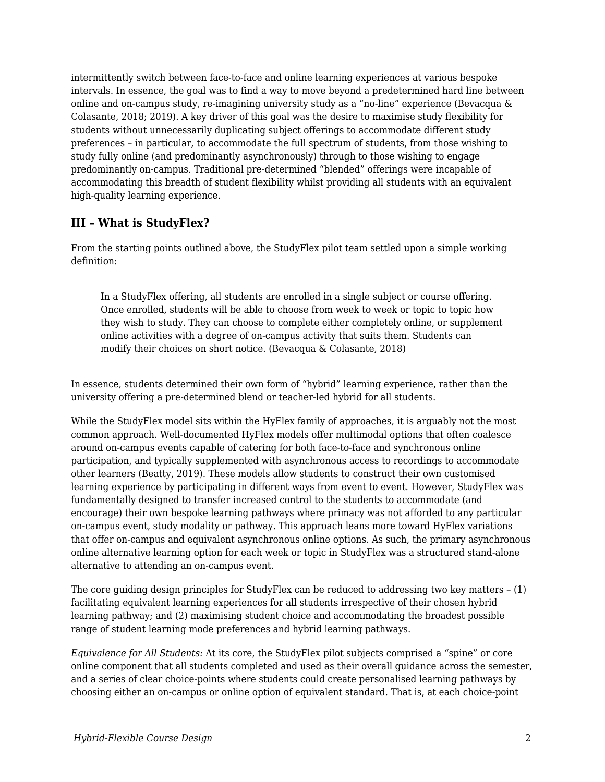intermittently switch between face-to-face and online learning experiences at various bespoke intervals. In essence, the goal was to find a way to move beyond a predetermined hard line between online and on-campus study, re-imagining university study as a "no-line" experience (Bevacqua & Colasante, 2018; 2019). A key driver of this goal was the desire to maximise study flexibility for students without unnecessarily duplicating subject offerings to accommodate different study preferences – in particular, to accommodate the full spectrum of students, from those wishing to study fully online (and predominantly asynchronously) through to those wishing to engage predominantly on-campus. Traditional pre-determined "blended" offerings were incapable of accommodating this breadth of student flexibility whilst providing all students with an equivalent high-quality learning experience.

# **III – What is StudyFlex?**

From the starting points outlined above, the StudyFlex pilot team settled upon a simple working definition:

In a StudyFlex offering, all students are enrolled in a single subject or course offering. Once enrolled, students will be able to choose from week to week or topic to topic how they wish to study. They can choose to complete either completely online, or supplement online activities with a degree of on-campus activity that suits them. Students can modify their choices on short notice. (Bevacqua & Colasante, 2018)

In essence, students determined their own form of "hybrid" learning experience, rather than the university offering a pre-determined blend or teacher-led hybrid for all students.

While the StudyFlex model sits within the HyFlex family of approaches, it is arguably not the most common approach. Well-documented HyFlex models offer multimodal options that often coalesce around on-campus events capable of catering for both face-to-face and synchronous online participation, and typically supplemented with asynchronous access to recordings to accommodate other learners (Beatty, 2019). These models allow students to construct their own customised learning experience by participating in different ways from event to event. However, StudyFlex was fundamentally designed to transfer increased control to the students to accommodate (and encourage) their own bespoke learning pathways where primacy was not afforded to any particular on-campus event, study modality or pathway. This approach leans more toward HyFlex variations that offer on-campus and equivalent asynchronous online options. As such, the primary asynchronous online alternative learning option for each week or topic in StudyFlex was a structured stand-alone alternative to attending an on-campus event.

The core guiding design principles for StudyFlex can be reduced to addressing two key matters – (1) facilitating equivalent learning experiences for all students irrespective of their chosen hybrid learning pathway; and (2) maximising student choice and accommodating the broadest possible range of student learning mode preferences and hybrid learning pathways.

*Equivalence for All Students:* At its core, the StudyFlex pilot subjects comprised a "spine" or core online component that all students completed and used as their overall guidance across the semester, and a series of clear choice-points where students could create personalised learning pathways by choosing either an on-campus or online option of equivalent standard. That is, at each choice-point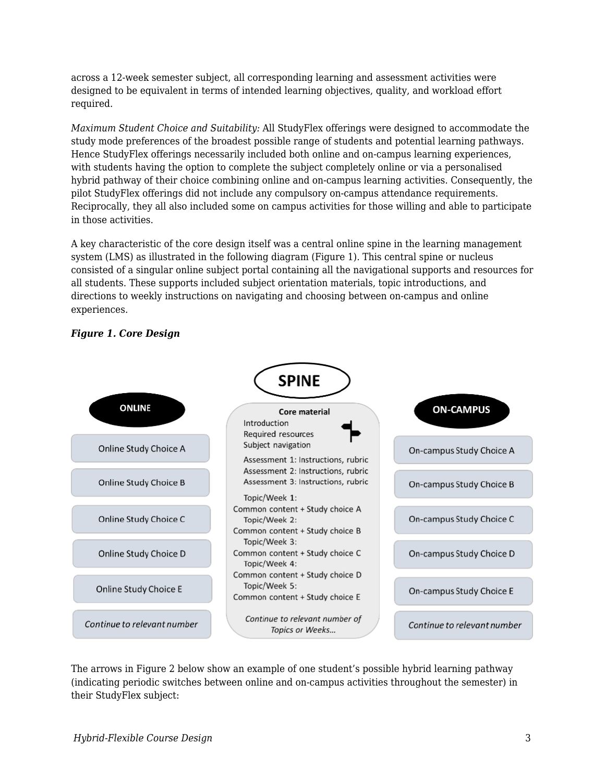across a 12-week semester subject, all corresponding learning and assessment activities were designed to be equivalent in terms of intended learning objectives, quality, and workload effort required.

*Maximum Student Choice and Suitability:* All StudyFlex offerings were designed to accommodate the study mode preferences of the broadest possible range of students and potential learning pathways. Hence StudyFlex offerings necessarily included both online and on-campus learning experiences, with students having the option to complete the subject completely online or via a personalised hybrid pathway of their choice combining online and on-campus learning activities. Consequently, the pilot StudyFlex offerings did not include any compulsory on-campus attendance requirements. Reciprocally, they all also included some on campus activities for those willing and able to participate in those activities.

A key characteristic of the core design itself was a central online spine in the learning management system (LMS) as illustrated in the following diagram (Figure 1). This central spine or nucleus consisted of a singular online subject portal containing all the navigational supports and resources for all students. These supports included subject orientation materials, topic introductions, and directions to weekly instructions on navigating and choosing between on-campus and online experiences.



### *Figure 1. Core Design*

The arrows in Figure 2 below show an example of one student's possible hybrid learning pathway (indicating periodic switches between online and on-campus activities throughout the semester) in their StudyFlex subject: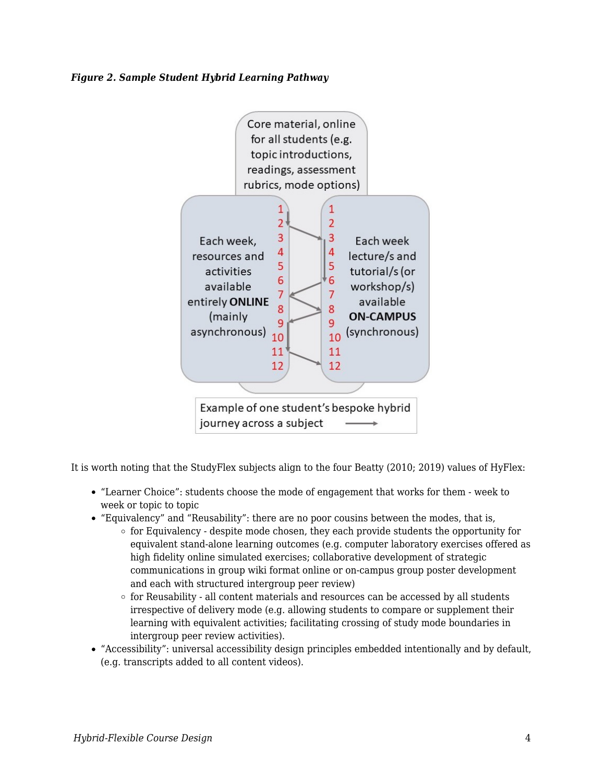#### *Figure 2. Sample Student Hybrid Learning Pathway*



It is worth noting that the StudyFlex subjects align to the four Beatty (2010; 2019) values of HyFlex:

- "Learner Choice": students choose the mode of engagement that works for them week to week or topic to topic
- "Equivalency" and "Reusability": there are no poor cousins between the modes, that is,
	- $\circ$  for Equivalency despite mode chosen, they each provide students the opportunity for equivalent stand-alone learning outcomes (e.g. computer laboratory exercises offered as high fidelity online simulated exercises; collaborative development of strategic communications in group wiki format online or on-campus group poster development and each with structured intergroup peer review)
	- $\circ$  for Reusability all content materials and resources can be accessed by all students irrespective of delivery mode (e.g. allowing students to compare or supplement their learning with equivalent activities; facilitating crossing of study mode boundaries in intergroup peer review activities).
- "Accessibility": universal accessibility design principles embedded intentionally and by default, (e.g. transcripts added to all content videos).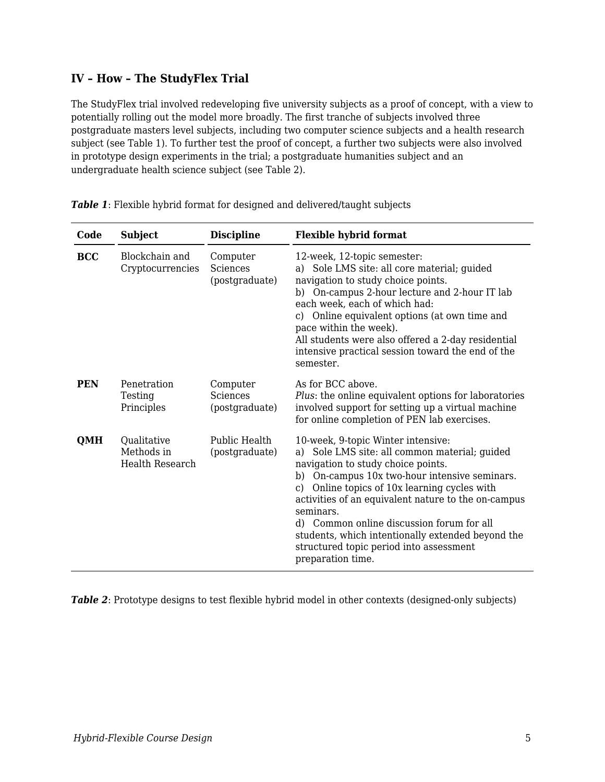## **IV – How – The StudyFlex Trial**

The StudyFlex trial involved redeveloping five university subjects as a proof of concept, with a view to potentially rolling out the model more broadly. The first tranche of subjects involved three postgraduate masters level subjects, including two computer science subjects and a health research subject (see Table 1). To further test the proof of concept, a further two subjects were also involved in prototype design experiments in the trial; a postgraduate humanities subject and an undergraduate health science subject (see Table 2).

| Code       | <b>Subject</b>                               | <b>Discipline</b>                      | <b>Flexible hybrid format</b>                                                                                                                                                                                                                                                                                                                                                                                                                                          |
|------------|----------------------------------------------|----------------------------------------|------------------------------------------------------------------------------------------------------------------------------------------------------------------------------------------------------------------------------------------------------------------------------------------------------------------------------------------------------------------------------------------------------------------------------------------------------------------------|
| <b>BCC</b> | Blockchain and<br>Cryptocurrencies           | Computer<br>Sciences<br>(postgraduate) | 12-week, 12-topic semester:<br>a) Sole LMS site: all core material; guided<br>navigation to study choice points.<br>b) On-campus 2-hour lecture and 2-hour IT lab<br>each week, each of which had:<br>c) Online equivalent options (at own time and<br>pace within the week).<br>All students were also offered a 2-day residential<br>intensive practical session toward the end of the<br>semester.                                                                  |
| <b>PEN</b> | Penetration<br>Testing<br>Principles         | Computer<br>Sciences<br>(postgraduate) | As for BCC above.<br>Plus: the online equivalent options for laboratories<br>involved support for setting up a virtual machine<br>for online completion of PEN lab exercises.                                                                                                                                                                                                                                                                                          |
| <b>QMH</b> | Qualitative<br>Methods in<br>Health Research | Public Health<br>(postgraduate)        | 10-week, 9-topic Winter intensive:<br>Sole LMS site: all common material; guided<br>a)<br>navigation to study choice points.<br>On-campus 10x two-hour intensive seminars.<br>b)<br>c) Online topics of 10x learning cycles with<br>activities of an equivalent nature to the on-campus<br>seminars.<br>d) Common online discussion forum for all<br>students, which intentionally extended beyond the<br>structured topic period into assessment<br>preparation time. |

*Table 1*: Flexible hybrid format for designed and delivered/taught subjects

*Table 2*: Prototype designs to test flexible hybrid model in other contexts (designed-only subjects)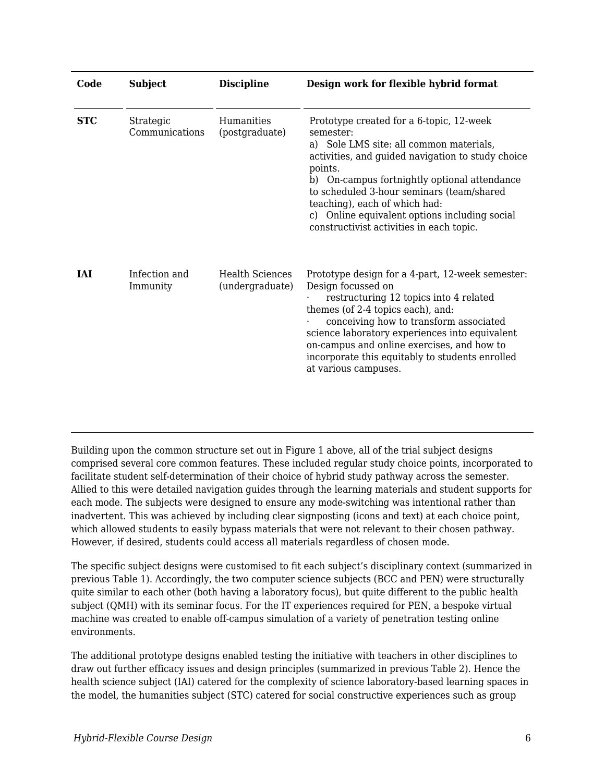| Code       | <b>Subject</b>              | <b>Discipline</b>                         | Design work for flexible hybrid format                                                                                                                                                                                                                                                                                                                                                      |
|------------|-----------------------------|-------------------------------------------|---------------------------------------------------------------------------------------------------------------------------------------------------------------------------------------------------------------------------------------------------------------------------------------------------------------------------------------------------------------------------------------------|
| <b>STC</b> | Strategic<br>Communications | Humanities<br>(postgraduate)              | Prototype created for a 6-topic, 12-week<br>semester:<br>a) Sole LMS site: all common materials,<br>activities, and guided navigation to study choice<br>points.<br>b) On-campus fortnightly optional attendance<br>to scheduled 3-hour seminars (team/shared<br>teaching), each of which had:<br>c) Online equivalent options including social<br>constructivist activities in each topic. |
| <b>IAI</b> | Infection and<br>Immunity   | <b>Health Sciences</b><br>(undergraduate) | Prototype design for a 4-part, 12-week semester:<br>Design focussed on<br>restructuring 12 topics into 4 related<br>themes (of 2-4 topics each), and:<br>conceiving how to transform associated<br>science laboratory experiences into equivalent<br>on-campus and online exercises, and how to<br>incorporate this equitably to students enrolled<br>at various campuses.                  |

Building upon the common structure set out in Figure 1 above, all of the trial subject designs comprised several core common features. These included regular study choice points, incorporated to facilitate student self-determination of their choice of hybrid study pathway across the semester. Allied to this were detailed navigation guides through the learning materials and student supports for each mode. The subjects were designed to ensure any mode-switching was intentional rather than inadvertent. This was achieved by including clear signposting (icons and text) at each choice point, which allowed students to easily bypass materials that were not relevant to their chosen pathway. However, if desired, students could access all materials regardless of chosen mode.

The specific subject designs were customised to fit each subject's disciplinary context (summarized in previous Table 1). Accordingly, the two computer science subjects (BCC and PEN) were structurally quite similar to each other (both having a laboratory focus), but quite different to the public health subject (QMH) with its seminar focus. For the IT experiences required for PEN, a bespoke virtual machine was created to enable off-campus simulation of a variety of penetration testing online environments.

The additional prototype designs enabled testing the initiative with teachers in other disciplines to draw out further efficacy issues and design principles (summarized in previous Table 2). Hence the health science subject (IAI) catered for the complexity of science laboratory-based learning spaces in the model, the humanities subject (STC) catered for social constructive experiences such as group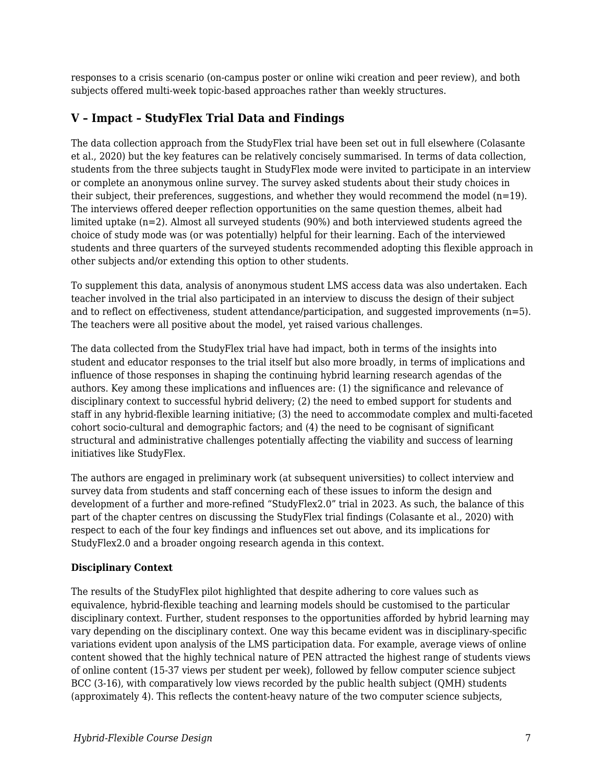responses to a crisis scenario (on-campus poster or online wiki creation and peer review), and both subjects offered multi-week topic-based approaches rather than weekly structures.

# **V – Impact – StudyFlex Trial Data and Findings**

The data collection approach from the StudyFlex trial have been set out in full elsewhere (Colasante et al., 2020) but the key features can be relatively concisely summarised. In terms of data collection, students from the three subjects taught in StudyFlex mode were invited to participate in an interview or complete an anonymous online survey. The survey asked students about their study choices in their subject, their preferences, suggestions, and whether they would recommend the model  $(n=19)$ . The interviews offered deeper reflection opportunities on the same question themes, albeit had limited uptake (n=2). Almost all surveyed students (90%) and both interviewed students agreed the choice of study mode was (or was potentially) helpful for their learning. Each of the interviewed students and three quarters of the surveyed students recommended adopting this flexible approach in other subjects and/or extending this option to other students.

To supplement this data, analysis of anonymous student LMS access data was also undertaken. Each teacher involved in the trial also participated in an interview to discuss the design of their subject and to reflect on effectiveness, student attendance/participation, and suggested improvements (n=5). The teachers were all positive about the model, yet raised various challenges.

The data collected from the StudyFlex trial have had impact, both in terms of the insights into student and educator responses to the trial itself but also more broadly, in terms of implications and influence of those responses in shaping the continuing hybrid learning research agendas of the authors. Key among these implications and influences are: (1) the significance and relevance of disciplinary context to successful hybrid delivery; (2) the need to embed support for students and staff in any hybrid-flexible learning initiative; (3) the need to accommodate complex and multi-faceted cohort socio-cultural and demographic factors; and (4) the need to be cognisant of significant structural and administrative challenges potentially affecting the viability and success of learning initiatives like StudyFlex.

The authors are engaged in preliminary work (at subsequent universities) to collect interview and survey data from students and staff concerning each of these issues to inform the design and development of a further and more-refined "StudyFlex2.0" trial in 2023. As such, the balance of this part of the chapter centres on discussing the StudyFlex trial findings (Colasante et al., 2020) with respect to each of the four key findings and influences set out above, and its implications for StudyFlex2.0 and a broader ongoing research agenda in this context.

#### **Disciplinary Context**

The results of the StudyFlex pilot highlighted that despite adhering to core values such as equivalence, hybrid-flexible teaching and learning models should be customised to the particular disciplinary context. Further, student responses to the opportunities afforded by hybrid learning may vary depending on the disciplinary context. One way this became evident was in disciplinary-specific variations evident upon analysis of the LMS participation data. For example, average views of online content showed that the highly technical nature of PEN attracted the highest range of students views of online content (15-37 views per student per week), followed by fellow computer science subject BCC (3-16), with comparatively low views recorded by the public health subject (QMH) students (approximately 4). This reflects the content-heavy nature of the two computer science subjects,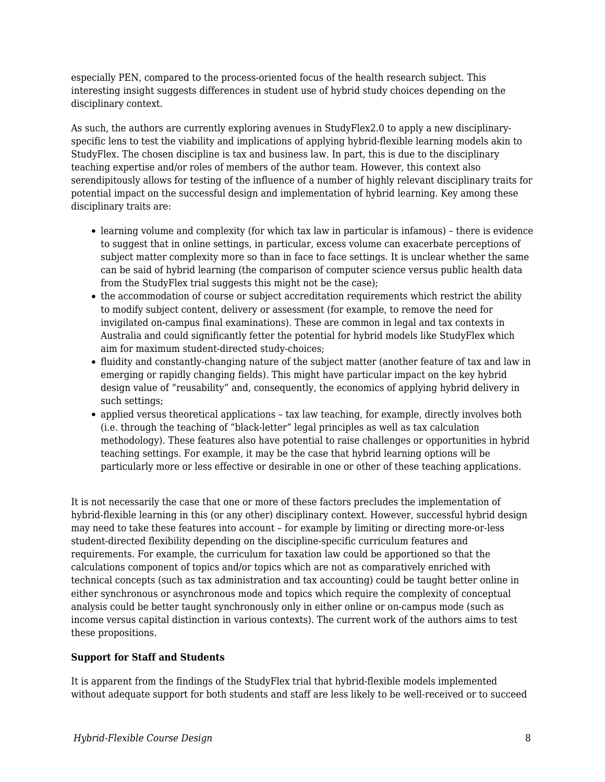especially PEN, compared to the process-oriented focus of the health research subject. This interesting insight suggests differences in student use of hybrid study choices depending on the disciplinary context.

As such, the authors are currently exploring avenues in StudyFlex2.0 to apply a new disciplinaryspecific lens to test the viability and implications of applying hybrid-flexible learning models akin to StudyFlex. The chosen discipline is tax and business law. In part, this is due to the disciplinary teaching expertise and/or roles of members of the author team. However, this context also serendipitously allows for testing of the influence of a number of highly relevant disciplinary traits for potential impact on the successful design and implementation of hybrid learning. Key among these disciplinary traits are:

- learning volume and complexity (for which tax law in particular is infamous) there is evidence to suggest that in online settings, in particular, excess volume can exacerbate perceptions of subject matter complexity more so than in face to face settings. It is unclear whether the same can be said of hybrid learning (the comparison of computer science versus public health data from the StudyFlex trial suggests this might not be the case);
- the accommodation of course or subject accreditation requirements which restrict the ability to modify subject content, delivery or assessment (for example, to remove the need for invigilated on-campus final examinations). These are common in legal and tax contexts in Australia and could significantly fetter the potential for hybrid models like StudyFlex which aim for maximum student-directed study-choices;
- fluidity and constantly-changing nature of the subject matter (another feature of tax and law in emerging or rapidly changing fields). This might have particular impact on the key hybrid design value of "reusability" and, consequently, the economics of applying hybrid delivery in such settings;
- applied versus theoretical applications tax law teaching, for example, directly involves both (i.e. through the teaching of "black-letter" legal principles as well as tax calculation methodology). These features also have potential to raise challenges or opportunities in hybrid teaching settings. For example, it may be the case that hybrid learning options will be particularly more or less effective or desirable in one or other of these teaching applications.

It is not necessarily the case that one or more of these factors precludes the implementation of hybrid-flexible learning in this (or any other) disciplinary context. However, successful hybrid design may need to take these features into account – for example by limiting or directing more-or-less student-directed flexibility depending on the discipline-specific curriculum features and requirements. For example, the curriculum for taxation law could be apportioned so that the calculations component of topics and/or topics which are not as comparatively enriched with technical concepts (such as tax administration and tax accounting) could be taught better online in either synchronous or asynchronous mode and topics which require the complexity of conceptual analysis could be better taught synchronously only in either online or on-campus mode (such as income versus capital distinction in various contexts). The current work of the authors aims to test these propositions.

#### **Support for Staff and Students**

It is apparent from the findings of the StudyFlex trial that hybrid-flexible models implemented without adequate support for both students and staff are less likely to be well-received or to succeed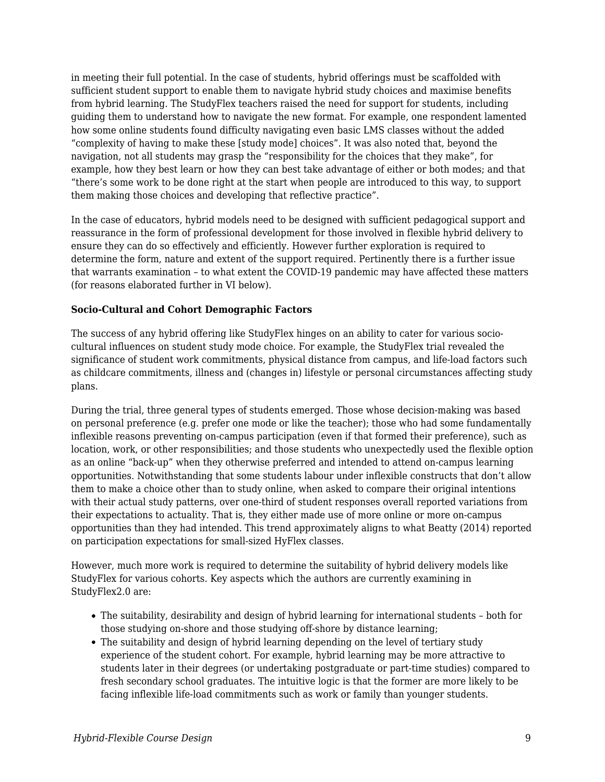in meeting their full potential. In the case of students, hybrid offerings must be scaffolded with sufficient student support to enable them to navigate hybrid study choices and maximise benefits from hybrid learning. The StudyFlex teachers raised the need for support for students, including guiding them to understand how to navigate the new format. For example, one respondent lamented how some online students found difficulty navigating even basic LMS classes without the added "complexity of having to make these [study mode] choices". It was also noted that, beyond the navigation, not all students may grasp the "responsibility for the choices that they make", for example, how they best learn or how they can best take advantage of either or both modes; and that "there's some work to be done right at the start when people are introduced to this way, to support them making those choices and developing that reflective practice".

In the case of educators, hybrid models need to be designed with sufficient pedagogical support and reassurance in the form of professional development for those involved in flexible hybrid delivery to ensure they can do so effectively and efficiently. However further exploration is required to determine the form, nature and extent of the support required. Pertinently there is a further issue that warrants examination – to what extent the COVID-19 pandemic may have affected these matters (for reasons elaborated further in VI below).

#### **Socio-Cultural and Cohort Demographic Factors**

The success of any hybrid offering like StudyFlex hinges on an ability to cater for various sociocultural influences on student study mode choice. For example, the StudyFlex trial revealed the significance of student work commitments, physical distance from campus, and life-load factors such as childcare commitments, illness and (changes in) lifestyle or personal circumstances affecting study plans.

During the trial, three general types of students emerged. Those whose decision-making was based on personal preference (e.g. prefer one mode or like the teacher); those who had some fundamentally inflexible reasons preventing on-campus participation (even if that formed their preference), such as location, work, or other responsibilities; and those students who unexpectedly used the flexible option as an online "back-up" when they otherwise preferred and intended to attend on-campus learning opportunities. Notwithstanding that some students labour under inflexible constructs that don't allow them to make a choice other than to study online, when asked to compare their original intentions with their actual study patterns, over one-third of student responses overall reported variations from their expectations to actuality. That is, they either made use of more online or more on-campus opportunities than they had intended. This trend approximately aligns to what Beatty (2014) reported on participation expectations for small-sized HyFlex classes.

However, much more work is required to determine the suitability of hybrid delivery models like StudyFlex for various cohorts. Key aspects which the authors are currently examining in StudyFlex2.0 are:

- The suitability, desirability and design of hybrid learning for international students both for those studying on-shore and those studying off-shore by distance learning;
- The suitability and design of hybrid learning depending on the level of tertiary study experience of the student cohort. For example, hybrid learning may be more attractive to students later in their degrees (or undertaking postgraduate or part-time studies) compared to fresh secondary school graduates. The intuitive logic is that the former are more likely to be facing inflexible life-load commitments such as work or family than younger students.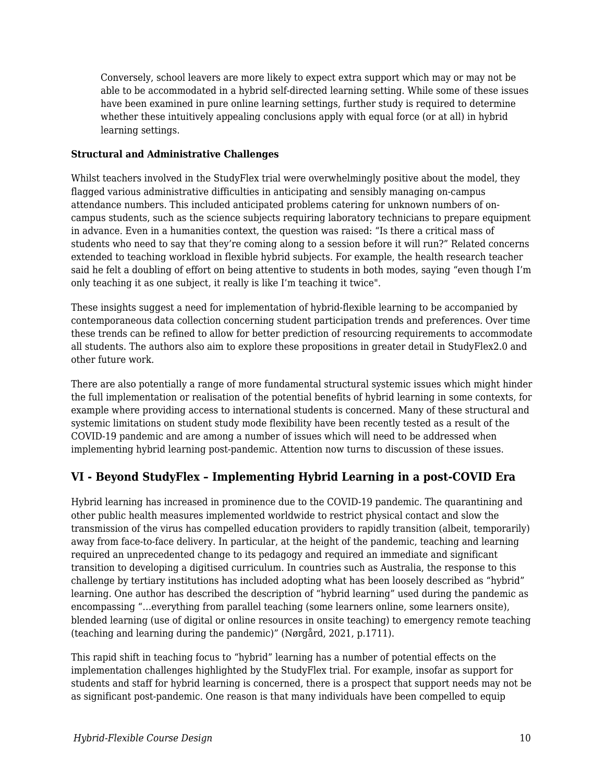Conversely, school leavers are more likely to expect extra support which may or may not be able to be accommodated in a hybrid self-directed learning setting. While some of these issues have been examined in pure online learning settings, further study is required to determine whether these intuitively appealing conclusions apply with equal force (or at all) in hybrid learning settings.

#### **Structural and Administrative Challenges**

Whilst teachers involved in the StudyFlex trial were overwhelmingly positive about the model, they flagged various administrative difficulties in anticipating and sensibly managing on-campus attendance numbers. This included anticipated problems catering for unknown numbers of oncampus students, such as the science subjects requiring laboratory technicians to prepare equipment in advance. Even in a humanities context, the question was raised: "Is there a critical mass of students who need to say that they're coming along to a session before it will run?" Related concerns extended to teaching workload in flexible hybrid subjects. For example, the health research teacher said he felt a doubling of effort on being attentive to students in both modes, saying "even though I'm only teaching it as one subject, it really is like I'm teaching it twice".

These insights suggest a need for implementation of hybrid-flexible learning to be accompanied by contemporaneous data collection concerning student participation trends and preferences. Over time these trends can be refined to allow for better prediction of resourcing requirements to accommodate all students. The authors also aim to explore these propositions in greater detail in StudyFlex2.0 and other future work.

There are also potentially a range of more fundamental structural systemic issues which might hinder the full implementation or realisation of the potential benefits of hybrid learning in some contexts, for example where providing access to international students is concerned. Many of these structural and systemic limitations on student study mode flexibility have been recently tested as a result of the COVID-19 pandemic and are among a number of issues which will need to be addressed when implementing hybrid learning post-pandemic. Attention now turns to discussion of these issues.

## **VI - Beyond StudyFlex – Implementing Hybrid Learning in a post-COVID Era**

Hybrid learning has increased in prominence due to the COVID-19 pandemic. The quarantining and other public health measures implemented worldwide to restrict physical contact and slow the transmission of the virus has compelled education providers to rapidly transition (albeit, temporarily) away from face-to-face delivery. In particular, at the height of the pandemic, teaching and learning required an unprecedented change to its pedagogy and required an immediate and significant transition to developing a digitised curriculum. In countries such as Australia, the response to this challenge by tertiary institutions has included adopting what has been loosely described as "hybrid" learning. One author has described the description of "hybrid learning" used during the pandemic as encompassing "…everything from parallel teaching (some learners online, some learners onsite), blended learning (use of digital or online resources in onsite teaching) to emergency remote teaching (teaching and learning during the pandemic)" (Nørgård, 2021, p.1711).

This rapid shift in teaching focus to "hybrid" learning has a number of potential effects on the implementation challenges highlighted by the StudyFlex trial. For example, insofar as support for students and staff for hybrid learning is concerned, there is a prospect that support needs may not be as significant post-pandemic. One reason is that many individuals have been compelled to equip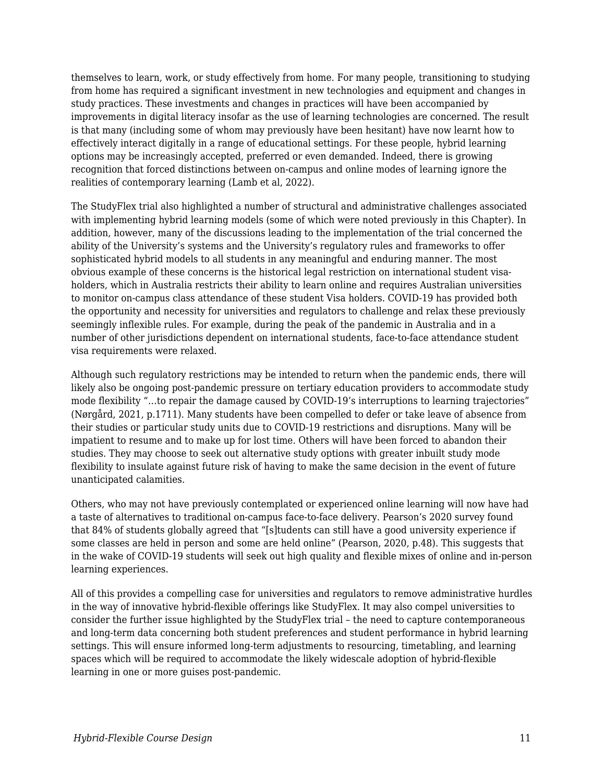themselves to learn, work, or study effectively from home. For many people, transitioning to studying from home has required a significant investment in new technologies and equipment and changes in study practices. These investments and changes in practices will have been accompanied by improvements in digital literacy insofar as the use of learning technologies are concerned. The result is that many (including some of whom may previously have been hesitant) have now learnt how to effectively interact digitally in a range of educational settings. For these people, hybrid learning options may be increasingly accepted, preferred or even demanded. Indeed, there is growing recognition that forced distinctions between on-campus and online modes of learning ignore the realities of contemporary learning (Lamb et al, 2022).

The StudyFlex trial also highlighted a number of structural and administrative challenges associated with implementing hybrid learning models (some of which were noted previously in this Chapter). In addition, however, many of the discussions leading to the implementation of the trial concerned the ability of the University's systems and the University's regulatory rules and frameworks to offer sophisticated hybrid models to all students in any meaningful and enduring manner. The most obvious example of these concerns is the historical legal restriction on international student visaholders, which in Australia restricts their ability to learn online and requires Australian universities to monitor on-campus class attendance of these student Visa holders. COVID-19 has provided both the opportunity and necessity for universities and regulators to challenge and relax these previously seemingly inflexible rules. For example, during the peak of the pandemic in Australia and in a number of other jurisdictions dependent on international students, face-to-face attendance student visa requirements were relaxed.

Although such regulatory restrictions may be intended to return when the pandemic ends, there will likely also be ongoing post-pandemic pressure on tertiary education providers to accommodate study mode flexibility "…to repair the damage caused by COVID-19's interruptions to learning trajectories" (Nørgård, 2021, p.1711). Many students have been compelled to defer or take leave of absence from their studies or particular study units due to COVID-19 restrictions and disruptions. Many will be impatient to resume and to make up for lost time. Others will have been forced to abandon their studies. They may choose to seek out alternative study options with greater inbuilt study mode flexibility to insulate against future risk of having to make the same decision in the event of future unanticipated calamities.

Others, who may not have previously contemplated or experienced online learning will now have had a taste of alternatives to traditional on-campus face-to-face delivery. Pearson's 2020 survey found that 84% of students globally agreed that "[s]tudents can still have a good university experience if some classes are held in person and some are held online" (Pearson, 2020, p.48). This suggests that in the wake of COVID-19 students will seek out high quality and flexible mixes of online and in-person learning experiences.

All of this provides a compelling case for universities and regulators to remove administrative hurdles in the way of innovative hybrid-flexible offerings like StudyFlex. It may also compel universities to consider the further issue highlighted by the StudyFlex trial – the need to capture contemporaneous and long-term data concerning both student preferences and student performance in hybrid learning settings. This will ensure informed long-term adjustments to resourcing, timetabling, and learning spaces which will be required to accommodate the likely widescale adoption of hybrid-flexible learning in one or more guises post-pandemic.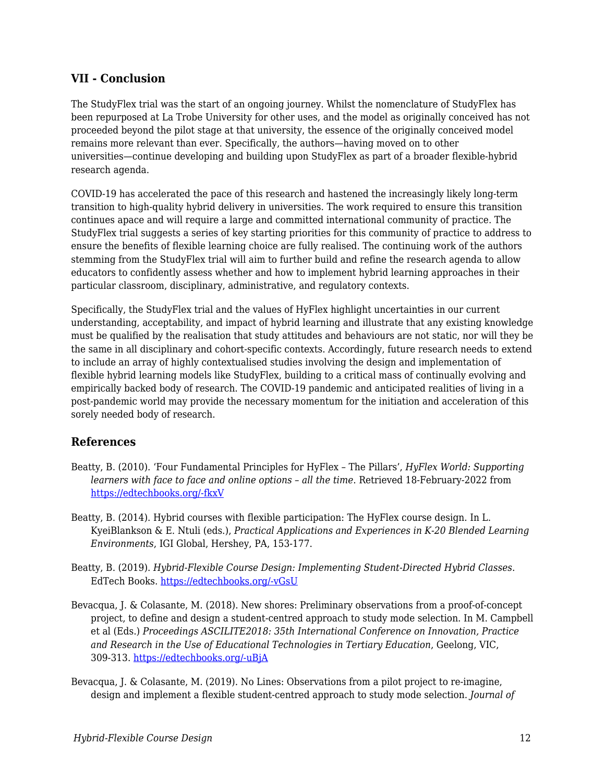### **VII - Conclusion**

The StudyFlex trial was the start of an ongoing journey. Whilst the nomenclature of StudyFlex has been repurposed at La Trobe University for other uses, and the model as originally conceived has not proceeded beyond the pilot stage at that university, the essence of the originally conceived model remains more relevant than ever. Specifically, the authors—having moved on to other universities—continue developing and building upon StudyFlex as part of a broader flexible-hybrid research agenda.

COVID-19 has accelerated the pace of this research and hastened the increasingly likely long-term transition to high-quality hybrid delivery in universities. The work required to ensure this transition continues apace and will require a large and committed international community of practice. The StudyFlex trial suggests a series of key starting priorities for this community of practice to address to ensure the benefits of flexible learning choice are fully realised. The continuing work of the authors stemming from the StudyFlex trial will aim to further build and refine the research agenda to allow educators to confidently assess whether and how to implement hybrid learning approaches in their particular classroom, disciplinary, administrative, and regulatory contexts.

Specifically, the StudyFlex trial and the values of HyFlex highlight uncertainties in our current understanding, acceptability, and impact of hybrid learning and illustrate that any existing knowledge must be qualified by the realisation that study attitudes and behaviours are not static, nor will they be the same in all disciplinary and cohort-specific contexts. Accordingly, future research needs to extend to include an array of highly contextualised studies involving the design and implementation of flexible hybrid learning models like StudyFlex, building to a critical mass of continually evolving and empirically backed body of research. The COVID-19 pandemic and anticipated realities of living in a post-pandemic world may provide the necessary momentum for the initiation and acceleration of this sorely needed body of research.

## **References**

- Beatty, B. (2010). 'Four Fundamental Principles for HyFlex The Pillars', *HyFlex World: Supporting learners with face to face and online options – all the time*. Retrieved 18-February-2022 from [https://edtechbooks.org/-fkxV](https://hyflexworld.wordpress.com/2019/01/15/four-fundamental-principles-for-hyflex-the-pillars/)
- Beatty, B. (2014). Hybrid courses with flexible participation: The HyFlex course design. In L. KyeiBlankson & E. Ntuli (eds.), *Practical Applications and Experiences in K-20 Blended Learning Environments*, IGI Global, Hershey, PA, 153-177.
- Beatty, B. (2019). *Hybrid-Flexible Course Design: Implementing Student-Directed Hybrid Classes*. EdTech Books. [https://edtechbooks.org/-vGsU](https://edtechbooks.org/hyflex/)
- Bevacqua, J. & Colasante, M. (2018). New shores: Preliminary observations from a proof-of-concept project, to define and design a student-centred approach to study mode selection. In M. Campbell et al (Eds.) *Proceedings ASCILITE2018: 35th International Conference on Innovation, Practice and Research in the Use of Educational Technologies in Tertiary Education*, Geelong, VIC, 309-313. [https://edtechbooks.org/-uBjA](https://2018conference.ascilite.org/wp-content/uploads/2018/12/ASCILITE-2018-Proceedings-Final.pdf)
- Bevacqua, J. & Colasante, M. (2019). No Lines: Observations from a pilot project to re-imagine, design and implement a flexible student-centred approach to study mode selection. *Journal of*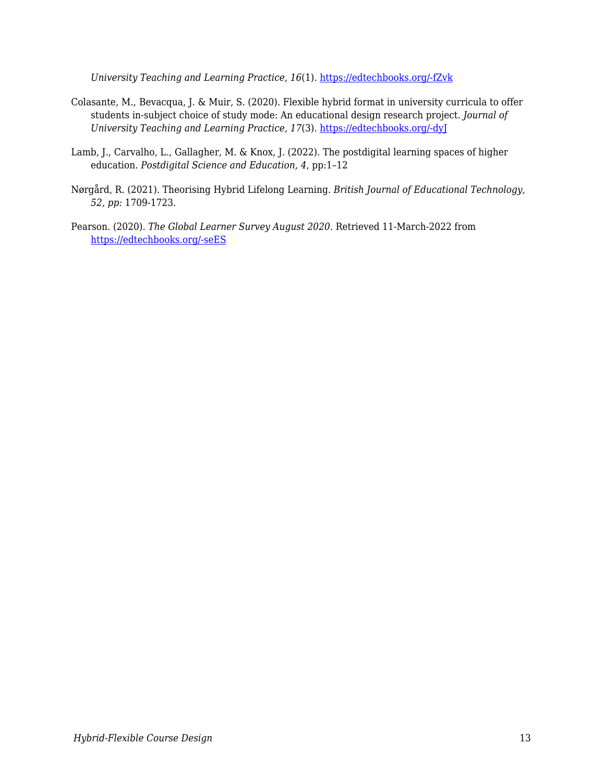*University Teaching and Learning Practice, 16*(1). [https://edtechbooks.org/-fZvk](https://ro.uow.edu.au/jutlp/vol16/iss1/2/)

- Colasante, M., Bevacqua, J. & Muir, S. (2020). Flexible hybrid format in university curricula to offer students in-subject choice of study mode: An educational design research project. *Journal of University Teaching and Learning Practice, 17*(3). [https://edtechbooks.org/-dyJ](https://ro.uow.edu.au/jutlp/vol17/iss3/9)
- Lamb, J., Carvalho, L., Gallagher, M. & Knox, J. (2022). The postdigital learning spaces of higher education. *Postdigital Science and Education, 4*, pp:1–12
- Nørgård, R. (2021). Theorising Hybrid Lifelong Learning. *British Journal of Educational Technology, 52, pp:* 1709-1723.
- Pearson. (2020). *The Global Learner Survey August 2020*. Retrieved 11-March-2022 from [https://edtechbooks.org/-seES](https://plc.pearson.com/sites/pearson-corp/files/Pearson_Global-Learners-Survey_2020_FINAL.pdf)